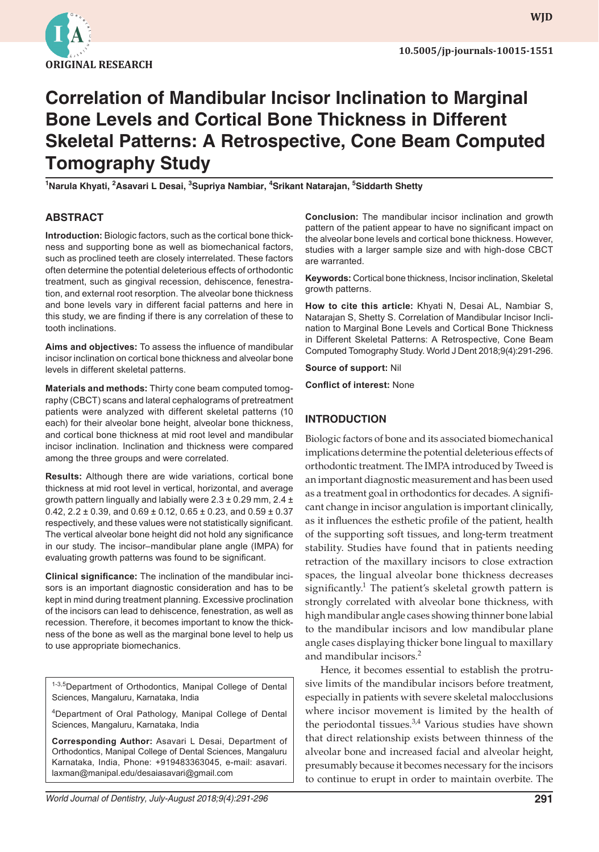

**WJD WJD**

# **Correlation of Mandibular Incisor Inclination to Marginal Bone Levels and Cortical Bone Thickness in Different Skeletal Patterns: A Retrospective, Cone Beam Computed Tomography Study**

**1 Narula Khyati, 2 Asavari L Desai, <sup>3</sup> Supriya Nambiar, 4 Srikant Natarajan, <sup>5</sup> Siddarth Shetty**

# **ABSTRACT**

**Introduction:** Biologic factors, such as the cortical bone thickness and supporting bone as well as biomechanical factors, such as proclined teeth are closely interrelated. These factors often determine the potential deleterious effects of orthodontic treatment, such as gingival recession, dehiscence, fenestration, and external root resorption. The alveolar bone thickness and bone levels vary in different facial patterns and here in this study, we are finding if there is any correlation of these to tooth inclinations.

**Aims and objectives:** To assess the influence of mandibular incisor inclination on cortical bone thickness and alveolar bone levels in different skeletal patterns.

**Materials and methods:** Thirty cone beam computed tomography (CBCT) scans and lateral cephalograms of pretreatment patients were analyzed with different skeletal patterns (10 each) for their alveolar bone height, alveolar bone thickness, and cortical bone thickness at mid root level and mandibular incisor inclination. Inclination and thickness were compared among the three groups and were correlated.

**Results:** Although there are wide variations, cortical bone thickness at mid root level in vertical, horizontal, and average growth pattern lingually and labially were  $2.3 \pm 0.29$  mm,  $2.4 \pm$ 0.42,  $2.2 \pm 0.39$ , and  $0.69 \pm 0.12$ ,  $0.65 \pm 0.23$ , and  $0.59 \pm 0.37$ respectively, and these values were not statistically significant. The vertical alveolar bone height did not hold any significance in our study. The incisor–mandibular plane angle (IMPA) for evaluating growth patterns was found to be significant.

**Clinical significance:** The inclination of the mandibular incisors is an important diagnostic consideration and has to be kept in mind during treatment planning. Excessive proclination of the incisors can lead to dehiscence, fenestration, as well as recession. Therefore, it becomes important to know the thickness of the bone as well as the marginal bone level to help us to use appropriate biomechanics.

1-3,5Department of Orthodontics, Manipal College of Dental Sciences, Mangaluru, Karnataka, India

4Department of Oral Pathology, Manipal College of Dental Sciences, Mangaluru, Karnataka, India

**Corresponding Author:** Asavari L Desai, Department of Orthodontics, Manipal College of Dental Sciences, Mangaluru Karnataka, India, Phone: +919483363045, e-mail: asavari. laxman@manipal.edu/desaiasavari@gmail.com

**Conclusion:** The mandibular incisor inclination and growth pattern of the patient appear to have no significant impact on the alveolar bone levels and cortical bone thickness. However, studies with a larger sample size and with high-dose CBCT are warranted.

**Keywords:** Cortical bone thickness, Incisor inclination, Skeletal growth patterns.

**How to cite this article:** Khyati N, Desai AL, Nambiar S, Natarajan S, Shetty S. Correlation of Mandibular Incisor Inclination to Marginal Bone Levels and Cortical Bone Thickness in Different Skeletal Patterns: A Retrospective, Cone Beam Computed Tomography Study. World J Dent 2018;9(4):291-296.

**Source of support:** Nil

**Conflict of interest:** None

## **INTRODUCTION**

Biologic factors of bone and its associated biomechanical implications determine the potential deleterious effects of orthodontic treatment. The IMPA introduced by Tweed is an important diagnostic measurement and has been used as a treatment goal in orthodontics for decades. A significant change in incisor angulation is important clinically, as it influences the esthetic profile of the patient, health of the supporting soft tissues, and long-term treatment stability. Studies have found that in patients needing retraction of the maxillary incisors to close extraction spaces, the lingual alveolar bone thickness decreases significantly.<sup>1</sup> The patient's skeletal growth pattern is strongly correlated with alveolar bone thickness, with high mandibular angle cases showing thinner bone labial to the mandibular incisors and low mandibular plane angle cases displaying thicker bone lingual to maxillary and mandibular incisors.<sup>2</sup>

Hence, it becomes essential to establish the protrusive limits of the mandibular incisors before treatment, especially in patients with severe skeletal malocclusions where incisor movement is limited by the health of the periodontal tissues. $3,4$  Various studies have shown that direct relationship exists between thinness of the alveolar bone and increased facial and alveolar height, presumably because it becomes necessary for the incisors to continue to erupt in order to maintain overbite. The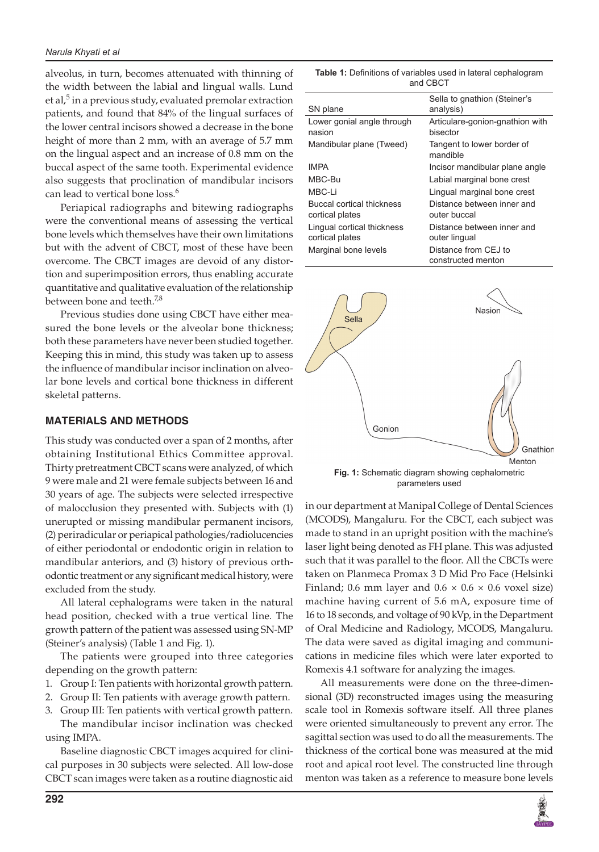alveolus, in turn, becomes attenuated with thinning of the width between the labial and lingual walls. Lund et al,<sup>5</sup> in a previous study, evaluated premolar extraction patients, and found that 84% of the lingual surfaces of the lower central incisors showed a decrease in the bone height of more than 2 mm, with an average of 5.7 mm on the lingual aspect and an increase of 0.8 mm on the buccal aspect of the same tooth. Experimental evidence also suggests that proclination of mandibular incisors can lead to vertical bone loss.<sup>6</sup>

Periapical radiographs and bitewing radiographs were the conventional means of assessing the vertical bone levels which themselves have their own limitations but with the advent of CBCT, most of these have been overcome. The CBCT images are devoid of any distortion and superimposition errors, thus enabling accurate quantitative and qualitative evaluation of the relationship between bone and teeth.<sup>7,8</sup>

Previous studies done using CBCT have either measured the bone levels or the alveolar bone thickness; both these parameters have never been studied together. Keeping this in mind, this study was taken up to assess the influence of mandibular incisor inclination on alveolar bone levels and cortical bone thickness in different skeletal patterns.

#### **MATERIALS AND METHODS**

This study was conducted over a span of 2 months, after obtaining Institutional Ethics Committee approval. Thirty pretreatment CBCT scans were analyzed, of which 9 were male and 21 were female subjects between 16 and 30 years of age. The subjects were selected irrespective of malocclusion they presented with. Subjects with (1) unerupted or missing mandibular permanent incisors, (2) periradicular or periapical pathologies/radiolucencies of either periodontal or endodontic origin in relation to mandibular anteriors, and (3) history of previous orthodontic treatment or any significant medical history, were excluded from the study.

All lateral cephalograms were taken in the natural head position, checked with a true vertical line. The growth pattern of the patient was assessed using SN-MP (Steiner's analysis) (Table 1 and Fig. 1).

The patients were grouped into three categories depending on the growth pattern:

- 1. Group I: Ten patients with horizontal growth pattern.
- 2. Group II: Ten patients with average growth pattern.

3. Group III: Ten patients with vertical growth pattern. The mandibular incisor inclination was checked using IMPA.

Baseline diagnostic CBCT images acquired for clinical purposes in 30 subjects were selected. All low-dose CBCT scan images were taken as a routine diagnostic aid

| <b>Table 1:</b> Definitions of variables used in lateral cephalogram |  |  |  |  |  |  |
|----------------------------------------------------------------------|--|--|--|--|--|--|
| and CBCT                                                             |  |  |  |  |  |  |

| SN plane                                      | Sella to gnathion (Steiner's<br>analysis)   |
|-----------------------------------------------|---------------------------------------------|
| Lower gonial angle through<br>nasion          | Articulare-gonion-gnathion with<br>bisector |
| Mandibular plane (Tweed)                      | Tangent to lower border of<br>mandible      |
| <b>IMPA</b>                                   | Incisor mandibular plane angle              |
| MBC-Bu                                        | Labial marginal bone crest                  |
| MBC-Li                                        | Lingual marginal bone crest                 |
| Buccal cortical thickness<br>cortical plates  | Distance between inner and<br>outer buccal  |
| Lingual cortical thickness<br>cortical plates | Distance between inner and<br>outer lingual |
| Marginal bone levels                          | Distance from CEJ to<br>constructed menton  |



**Fig. 1:** Schematic diagram showing cephalometric parameters used

in our department at Manipal College of Dental Sciences (MCODS), Mangaluru. For the CBCT, each subject was made to stand in an upright position with the machine's laser light being denoted as FH plane. This was adjusted such that it was parallel to the floor. All the CBCTs were taken on Planmeca Promax 3 D Mid Pro Face (Helsinki Finland; 0.6 mm layer and 0.6  $\times$  0.6  $\times$  0.6 voxel size) machine having current of 5.6 mA, exposure time of 16 to 18 seconds, and voltage of 90 kVp, in the Department of Oral Medicine and Radiology, MCODS, Mangaluru. The data were saved as digital imaging and communications in medicine files which were later exported to Romexis 4.1 software for analyzing the images.

All measurements were done on the three-dimensional (3D) reconstructed images using the measuring scale tool in Romexis software itself. All three planes were oriented simultaneously to prevent any error. The sagittal section was used to do all the measurements. The thickness of the cortical bone was measured at the mid root and apical root level. The constructed line through menton was taken as a reference to measure bone levels

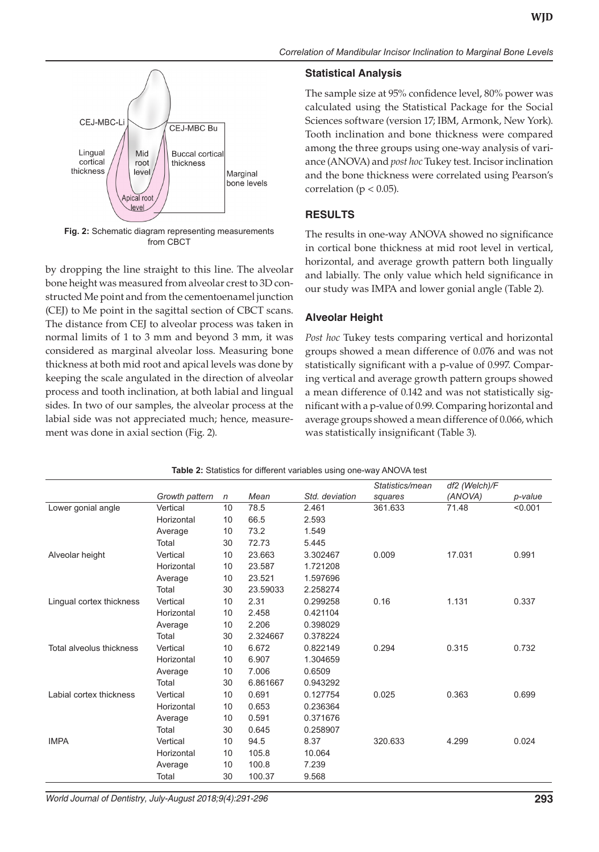

**Fig. 2:** Schematic diagram representing measurements from CBCT

by dropping the line straight to this line. The alveolar bone height was measured from alveolar crest to 3D constructed Me point and from the cementoenamel junction (CEJ) to Me point in the sagittal section of CBCT scans. The distance from CEJ to alveolar process was taken in normal limits of 1 to 3 mm and beyond 3 mm, it was considered as marginal alveolar loss. Measuring bone thickness at both mid root and apical levels was done by keeping the scale angulated in the direction of alveolar process and tooth inclination, at both labial and lingual sides. In two of our samples, the alveolar process at the labial side was not appreciated much; hence, measurement was done in axial section (Fig. 2).

## **Statistical Analysis**

The sample size at 95% confidence level, 80% power was calculated using the Statistical Package for the Social Sciences software (version 17; IBM, Armonk, New York). Tooth inclination and bone thickness were compared among the three groups using one-way analysis of variance (ANOVA) and *post hoc* Tukey test. Incisor inclination and the bone thickness were correlated using Pearson's correlation ( $p < 0.05$ ).

# **RESULTS**

The results in one-way ANOVA showed no significance in cortical bone thickness at mid root level in vertical, horizontal, and average growth pattern both lingually and labially. The only value which held significance in our study was IMPA and lower gonial angle (Table 2).

# **Alveolar Height**

*Post hoc* Tukey tests comparing vertical and horizontal groups showed a mean difference of 0.076 and was not statistically significant with a p-value of 0.997. Comparing vertical and average growth pattern groups showed a mean difference of 0.142 and was not statistically significant with a p-value of 0.99. Comparing horizontal and average groups showed a mean difference of 0.066, which was statistically insignificant (Table 3).

|                          |                |    |          |                | Statistics/mean | df2 (Welch)/F |         |
|--------------------------|----------------|----|----------|----------------|-----------------|---------------|---------|
|                          | Growth pattern | n  | Mean     | Std. deviation | squares         | (ANOVA)       | p-value |
| Lower gonial angle       | Vertical       | 10 | 78.5     | 2.461          | 361.633         | 71.48         | < 0.001 |
|                          | Horizontal     | 10 | 66.5     | 2.593          |                 |               |         |
|                          | Average        | 10 | 73.2     | 1.549          |                 |               |         |
|                          | Total          | 30 | 72.73    | 5.445          |                 |               |         |
| Alveolar height          | Vertical       | 10 | 23.663   | 3.302467       | 0.009           | 17.031        | 0.991   |
|                          | Horizontal     | 10 | 23.587   | 1.721208       |                 |               |         |
|                          | Average        | 10 | 23.521   | 1.597696       |                 |               |         |
|                          | Total          | 30 | 23.59033 | 2.258274       |                 |               |         |
| Lingual cortex thickness | Vertical       | 10 | 2.31     | 0.299258       | 0.16            | 1.131         | 0.337   |
|                          | Horizontal     | 10 | 2.458    | 0.421104       |                 |               |         |
|                          | Average        | 10 | 2.206    | 0.398029       |                 |               |         |
|                          | Total          | 30 | 2.324667 | 0.378224       |                 |               |         |
| Total alveolus thickness | Vertical       | 10 | 6.672    | 0.822149       | 0.294           | 0.315         | 0.732   |
|                          | Horizontal     | 10 | 6.907    | 1.304659       |                 |               |         |
|                          | Average        | 10 | 7.006    | 0.6509         |                 |               |         |
|                          | Total          | 30 | 6.861667 | 0.943292       |                 |               |         |
| Labial cortex thickness  | Vertical       | 10 | 0.691    | 0.127754       | 0.025           | 0.363         | 0.699   |
|                          | Horizontal     | 10 | 0.653    | 0.236364       |                 |               |         |
|                          | Average        | 10 | 0.591    | 0.371676       |                 |               |         |
|                          | Total          | 30 | 0.645    | 0.258907       |                 |               |         |
| <b>IMPA</b>              | Vertical       | 10 | 94.5     | 8.37           | 320.633         | 4.299         | 0.024   |
|                          | Horizontal     | 10 | 105.8    | 10.064         |                 |               |         |
|                          | Average        | 10 | 100.8    | 7.239          |                 |               |         |
|                          | Total          | 30 | 100.37   | 9.568          |                 |               |         |

**Table 2:** Statistics for different variables using one-way ANOVA test

*World Journal of Dentistry, July-August 2018;9(4):291-296* **293**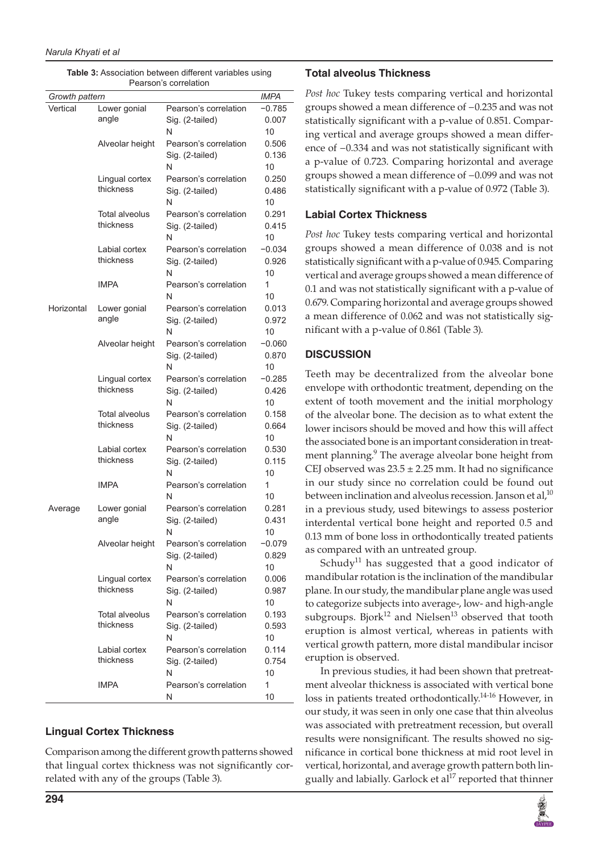| Growth pattern |                             |                            |                   |  |  |
|----------------|-----------------------------|----------------------------|-------------------|--|--|
| Vertical       | Lower gonial                | Pearson's correlation      | $-0.785$          |  |  |
|                | angle                       | Sig. (2-tailed)            | 0.007             |  |  |
|                |                             | N                          | 10                |  |  |
|                | Alveolar height             | Pearson's correlation      | 0.506             |  |  |
|                |                             | Sig. (2-tailed)            | 0.136             |  |  |
|                |                             | N                          | 10                |  |  |
|                | Lingual cortex              | Pearson's correlation      | 0.250             |  |  |
|                | thickness                   | Sig. (2-tailed)            | 0.486             |  |  |
|                |                             | N                          | 10                |  |  |
|                | Total alveolus              | Pearson's correlation      | 0.291             |  |  |
|                | thickness                   | Sig. (2-tailed)            | 0.415             |  |  |
|                |                             | N                          | 10                |  |  |
|                | Labial cortex               | Pearson's correlation      | -0.034            |  |  |
|                | thickness                   | Sig. (2-tailed)            | 0.926             |  |  |
|                |                             | N                          | 10                |  |  |
|                | <b>IMPA</b>                 | Pearson's correlation      | 1                 |  |  |
|                |                             | N                          | 10                |  |  |
| Horizontal     | Lower gonial                | Pearson's correlation      | 0.013             |  |  |
|                | angle                       | Sig. (2-tailed)            | 0.972             |  |  |
|                |                             | N                          | 10                |  |  |
|                | Alveolar height             | Pearson's correlation      | $-0.060$          |  |  |
|                |                             | Sig. (2-tailed)<br>N       | 0.870             |  |  |
|                |                             | Pearson's correlation      | 10                |  |  |
|                | Lingual cortex<br>thickness |                            | $-0.285$<br>0.426 |  |  |
|                |                             | Sig. (2-tailed)<br>N       | 10                |  |  |
|                | Total alveolus              | Pearson's correlation      | 0.158             |  |  |
|                | thickness                   | Sig. (2-tailed)            | 0.664             |  |  |
|                |                             | N                          | 10                |  |  |
|                | Labial cortex               | Pearson's correlation      | 0.530             |  |  |
|                | thickness                   | Sig. (2-tailed)            | 0.115             |  |  |
|                |                             | N                          | 10                |  |  |
|                | <b>IMPA</b>                 | Pearson's correlation      | 1                 |  |  |
|                |                             | N                          | 10                |  |  |
| Average        | Lower gonial                | Pearson's correlation      | 0.281             |  |  |
|                | angle                       | Sig. (2-tailed)            | 0.431             |  |  |
|                |                             | N                          | 10                |  |  |
|                | Alveolar height             | Pearson's correlation      | $-0.079$          |  |  |
|                |                             | Sig. (2-tailed)            | 0.829             |  |  |
|                |                             | N                          | 10                |  |  |
|                | Lingual cortex<br>thickness | Pearson's correlation      | 0.006             |  |  |
|                |                             | Sig. (2-tailed)            | 0.987             |  |  |
|                |                             | N                          | 10                |  |  |
|                | Total alveolus              | Pearson's correlation      | 0.193             |  |  |
|                | thickness                   | Sig. (2-tailed)            | 0.593             |  |  |
|                |                             | N                          | 10                |  |  |
|                | Labial cortex<br>thickness  | Pearson's correlation      | 0.114             |  |  |
|                |                             | Sig. (2-tailed)            | 0.754             |  |  |
|                | IMPA                        | N<br>Pearson's correlation | 10<br>1           |  |  |
|                |                             | Ν                          | 10                |  |  |
|                |                             |                            |                   |  |  |

**Table 3:** Association between different variables using Pearson's correlation

# **Lingual Cortex Thickness**

Comparison among the different growth patterns showed that lingual cortex thickness was not significantly correlated with any of the groups (Table 3).

#### **Total alveolus Thickness**

*Post hoc* Tukey tests comparing vertical and horizontal groups showed a mean difference of −0.235 and was not statistically significant with a p-value of 0.851. Comparing vertical and average groups showed a mean difference of −0.334 and was not statistically significant with a p-value of 0.723. Comparing horizontal and average groups showed a mean difference of −0.099 and was not statistically significant with a p-value of 0.972 (Table 3).

## **Labial Cortex Thickness**

*Post hoc* Tukey tests comparing vertical and horizontal groups showed a mean difference of 0.038 and is not statistically significant with a p-value of 0.945. Comparing vertical and average groups showed a mean difference of 0.1 and was not statistically significant with a p-value of 0.679. Comparing horizontal and average groups showed a mean difference of 0.062 and was not statistically significant with a p-value of 0.861 (Table 3).

## **DISCUSSION**

Teeth may be decentralized from the alveolar bone envelope with orthodontic treatment, depending on the extent of tooth movement and the initial morphology of the alveolar bone. The decision as to what extent the lower incisors should be moved and how this will affect the associated bone is an important consideration in treatment planning.<sup>9</sup> The average alveolar bone height from CEJ observed was  $23.5 \pm 2.25$  mm. It had no significance in our study since no correlation could be found out between inclination and alveolus recession. Janson et al, $^{10}$ in a previous study, used bitewings to assess posterior interdental vertical bone height and reported 0.5 and 0.13 mm of bone loss in orthodontically treated patients as compared with an untreated group.

Schudy<sup>11</sup> has suggested that a good indicator of mandibular rotation is the inclination of the mandibular plane. In our study, the mandibular plane angle was used to categorize subjects into average-, low- and high-angle subgroups. Bjork<sup>12</sup> and Nielsen<sup>13</sup> observed that tooth eruption is almost vertical, whereas in patients with vertical growth pattern, more distal mandibular incisor eruption is observed.

In previous studies, it had been shown that pretreatment alveolar thickness is associated with vertical bone loss in patients treated orthodontically.<sup>14-16</sup> However, in our study, it was seen in only one case that thin alveolus was associated with pretreatment recession, but overall results were nonsignificant. The results showed no significance in cortical bone thickness at mid root level in vertical, horizontal, and average growth pattern both lingually and labially. Garlock et al<sup>17</sup> reported that thinner

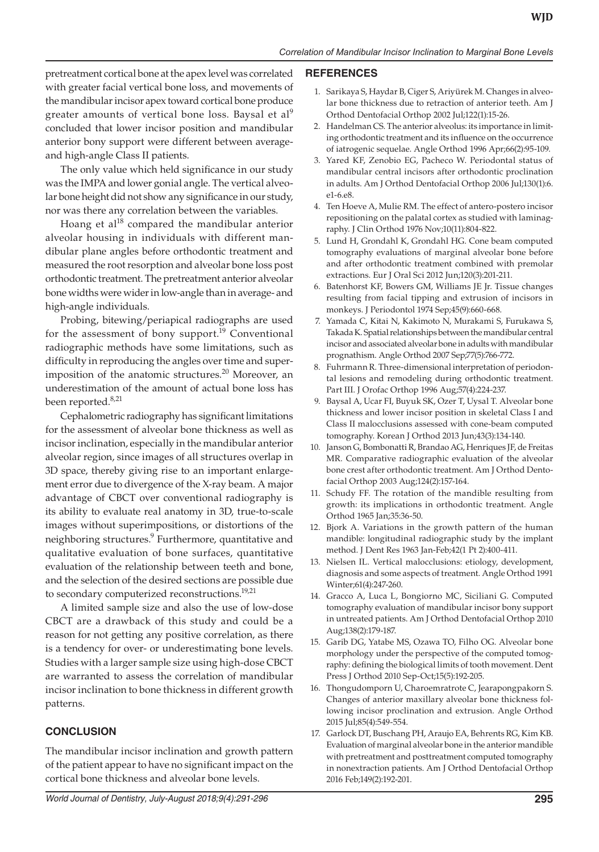pretreatment cortical bone at the apex level was correlated with greater facial vertical bone loss, and movements of the mandibular incisor apex toward cortical bone produce greater amounts of vertical bone loss. Baysal et  $al^9$ concluded that lower incisor position and mandibular anterior bony support were different between averageand high-angle Class II patients.

The only value which held significance in our study was the IMPA and lower gonial angle. The vertical alveolar bone height did not show any significance in our study, nor was there any correlation between the variables.

Hoang et  $al^{18}$  compared the mandibular anterior alveolar housing in individuals with different mandibular plane angles before orthodontic treatment and measured the root resorption and alveolar bone loss post orthodontic treatment. The pretreatment anterior alveolar bone widths were wider in low-angle than in average- and high-angle individuals.

Probing, bitewing/periapical radiographs are used for the assessment of bony support.<sup>19</sup> Conventional radiographic methods have some limitations, such as difficulty in reproducing the angles over time and superimposition of the anatomic structures.<sup>20</sup> Moreover, an underestimation of the amount of actual bone loss has been reported.<sup>8,21</sup>

Cephalometric radiography has significant limitations for the assessment of alveolar bone thickness as well as incisor inclination, especially in the mandibular anterior alveolar region, since images of all structures overlap in 3D space, thereby giving rise to an important enlargement error due to divergence of the X-ray beam. A major advantage of CBCT over conventional radiography is its ability to evaluate real anatomy in 3D, true-to-scale images without superimpositions, or distortions of the neighboring structures.<sup>9</sup> Furthermore, quantitative and qualitative evaluation of bone surfaces, quantitative evaluation of the relationship between teeth and bone, and the selection of the desired sections are possible due to secondary computerized reconstructions.<sup>19,21</sup>

A limited sample size and also the use of low-dose CBCT are a drawback of this study and could be a reason for not getting any positive correlation, as there is a tendency for over- or underestimating bone levels. Studies with a larger sample size using high-dose CBCT are warranted to assess the correlation of mandibular incisor inclination to bone thickness in different growth patterns.

# **CONCLUSION**

The mandibular incisor inclination and growth pattern of the patient appear to have no significant impact on the cortical bone thickness and alveolar bone levels.

#### **REFERENCES**

- 1. Sarikaya S, Haydar B, Ciger S, Ariyürek M. Changes in alveolar bone thickness due to retraction of anterior teeth. Am J Orthod Dentofacial Orthop 2002 Jul;122(1):15-26.
- 2. Handelman CS. The anterior alveolus: its importance in limiting orthodontic treatment and its influence on the occurrence of iatrogenic sequelae. Angle Orthod 1996 Apr;66(2):95-109.
- 3. Yared KF, Zenobio EG, Pacheco W. Periodontal status of mandibular central incisors after orthodontic proclination in adults. Am J Orthod Dentofacial Orthop 2006 Jul;130(1):6. e1-6.e8.
- 4. Ten Hoeve A, Mulie RM. The effect of antero-postero incisor repositioning on the palatal cortex as studied with laminagraphy. J Clin Orthod 1976 Nov;10(11):804-822.
- 5. Lund H, Grondahl K, Grondahl HG. Cone beam computed tomography evaluations of marginal alveolar bone before and after orthodontic treatment combined with premolar extractions. Eur J Oral Sci 2012 Jun;120(3):201-211.
- 6. Batenhorst KF, Bowers GM, Williams JE Jr. Tissue changes resulting from facial tipping and extrusion of incisors in monkeys. J Periodontol 1974 Sep;45(9):660-668.
- 7. Yamada C, Kitai N, Kakimoto N, Murakami S, Furukawa S, Takada K. Spatial relationships between the mandibular central incisor and associated alveolar bone in adults with mandibular prognathism. Angle Orthod 2007 Sep;77(5):766-772.
- 8. Fuhrmann R. Three-dimensional interpretation of periodontal lesions and remodeling during orthodontic treatment. Part III. J Orofac Orthop 1996 Aug;57(4):224-237.
- 9. Baysal A, Ucar FI, Buyuk SK, Ozer T, Uysal T. Alveolar bone thickness and lower incisor position in skeletal Class I and Class II malocclusions assessed with cone-beam computed tomography. Korean J Orthod 2013 Jun;43(3):134-140.
- 10. Janson G, Bombonatti R, Brandao AG, Henriques JF, de Freitas MR. Comparative radiographic evaluation of the alveolar bone crest after orthodontic treatment. Am J Orthod Dentofacial Orthop 2003 Aug;124(2):157-164.
- 11. Schudy FF. The rotation of the mandible resulting from growth: its implications in orthodontic treatment. Angle Orthod 1965 Jan;35:36-50.
- 12. Bjork A. Variations in the growth pattern of the human mandible: longitudinal radiographic study by the implant method. J Dent Res 1963 Jan-Feb;42(1 Pt 2):400-411.
- 13. Nielsen IL. Vertical malocclusions: etiology, development, diagnosis and some aspects of treatment. Angle Orthod 1991 Winter;61(4):247-260.
- 14. Gracco A, Luca L, Bongiorno MC, Siciliani G. Computed tomography evaluation of mandibular incisor bony support in untreated patients. Am J Orthod Dentofacial Orthop 2010 Aug;138(2):179-187.
- 15. Garib DG, Yatabe MS, Ozawa TO, Filho OG. Alveolar bone morphology under the perspective of the computed tomography: defining the biological limits of tooth movement. Dent Press J Orthod 2010 Sep-Oct;15(5):192-205.
- 16. Thongudomporn U, Charoemratrote C, Jearapongpakorn S. Changes of anterior maxillary alveolar bone thickness following incisor proclination and extrusion. Angle Orthod 2015 Jul;85(4):549-554.
- 17. Garlock DT, Buschang PH, Araujo EA, Behrents RG, Kim KB. Evaluation of marginal alveolar bone in the anterior mandible with pretreatment and posttreatment computed tomography in nonextraction patients. Am J Orthod Dentofacial Orthop 2016 Feb;149(2):192-201.